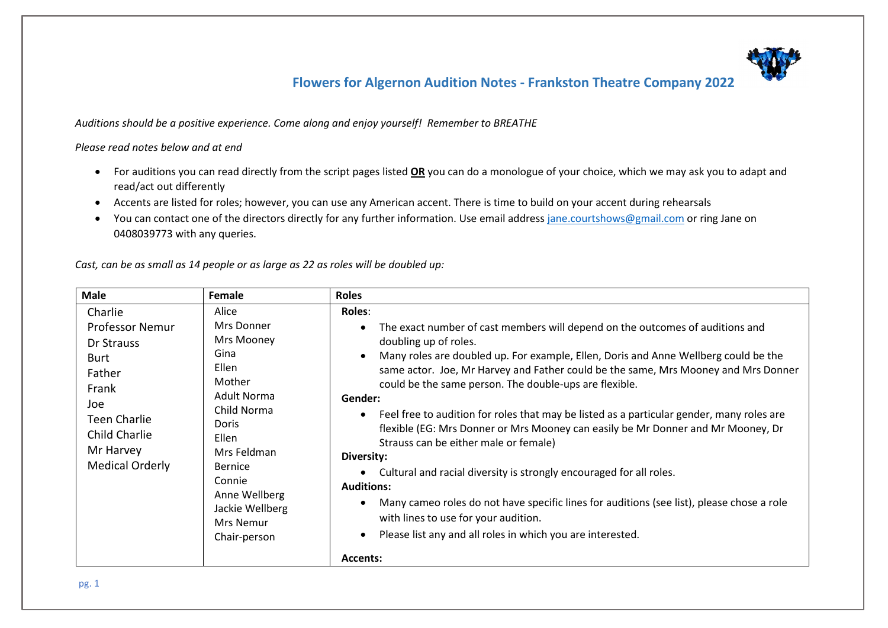*Auditions should be a positive experience. Come along and enjoy yourself! Remember to BREATHE*

*Please read notes below and at end*

- For auditions you can read directly from the script pages listed **OR** you can do a monologue of your choice, which we may ask you to adapt and read/act out differently
- Accents are listed for roles; however, you can use any American accent. There is time to build on your accent during rehearsals
- You can contact one of the directors directly for any further information. Use email address [jane.courtshows@gmail.com](mailto:jane.courtshows@gmail.com) or ring Jane on 0408039773 with any queries.

*Cast, can be as small as 14 people or as large as 22 as roles will be doubled up:*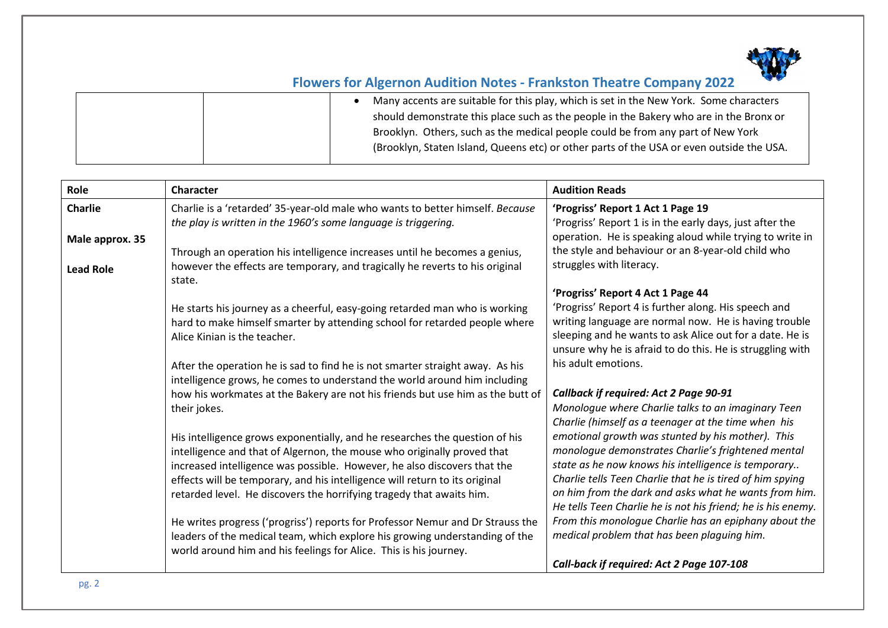

| Many accents are suitable for this play, which is set in the New York. Some characters<br>should demonstrate this place such as the people in the Bakery who are in the Bronx or<br>Brooklyn. Others, such as the medical people could be from any part of New York |
|---------------------------------------------------------------------------------------------------------------------------------------------------------------------------------------------------------------------------------------------------------------------|
| (Brooklyn, Staten Island, Queens etc) or other parts of the USA or even outside the USA.                                                                                                                                                                            |

| Role             | Character                                                                                                                                                  | <b>Audition Reads</b>                                                                                                 |
|------------------|------------------------------------------------------------------------------------------------------------------------------------------------------------|-----------------------------------------------------------------------------------------------------------------------|
| <b>Charlie</b>   | Charlie is a 'retarded' 35-year-old male who wants to better himself. Because                                                                              | 'Progriss' Report 1 Act 1 Page 19                                                                                     |
|                  | the play is written in the 1960's some language is triggering.                                                                                             | 'Progriss' Report 1 is in the early days, just after the                                                              |
| Male approx. 35  |                                                                                                                                                            | operation. He is speaking aloud while trying to write in                                                              |
|                  | Through an operation his intelligence increases until he becomes a genius,                                                                                 | the style and behaviour or an 8-year-old child who                                                                    |
| <b>Lead Role</b> | however the effects are temporary, and tragically he reverts to his original<br>state.                                                                     | struggles with literacy.                                                                                              |
|                  |                                                                                                                                                            | 'Progriss' Report 4 Act 1 Page 44                                                                                     |
|                  | He starts his journey as a cheerful, easy-going retarded man who is working                                                                                | 'Progriss' Report 4 is further along. His speech and                                                                  |
|                  | hard to make himself smarter by attending school for retarded people where                                                                                 | writing language are normal now. He is having trouble                                                                 |
|                  | Alice Kinian is the teacher.                                                                                                                               | sleeping and he wants to ask Alice out for a date. He is<br>unsure why he is afraid to do this. He is struggling with |
|                  |                                                                                                                                                            | his adult emotions.                                                                                                   |
|                  | After the operation he is sad to find he is not smarter straight away. As his<br>intelligence grows, he comes to understand the world around him including |                                                                                                                       |
|                  | how his workmates at the Bakery are not his friends but use him as the butt of                                                                             | <b>Callback if required: Act 2 Page 90-91</b>                                                                         |
|                  | their jokes.                                                                                                                                               | Monologue where Charlie talks to an imaginary Teen                                                                    |
|                  |                                                                                                                                                            | Charlie (himself as a teenager at the time when his                                                                   |
|                  | His intelligence grows exponentially, and he researches the question of his                                                                                | emotional growth was stunted by his mother). This                                                                     |
|                  | intelligence and that of Algernon, the mouse who originally proved that                                                                                    | monologue demonstrates Charlie's frightened mental                                                                    |
|                  | increased intelligence was possible. However, he also discovers that the                                                                                   | state as he now knows his intelligence is temporary                                                                   |
|                  | effects will be temporary, and his intelligence will return to its original                                                                                | Charlie tells Teen Charlie that he is tired of him spying                                                             |
|                  | retarded level. He discovers the horrifying tragedy that awaits him.                                                                                       | on him from the dark and asks what he wants from him.<br>He tells Teen Charlie he is not his friend; he is his enemy. |
|                  | He writes progress ('progriss') reports for Professor Nemur and Dr Strauss the                                                                             | From this monologue Charlie has an epiphany about the                                                                 |
|                  | leaders of the medical team, which explore his growing understanding of the                                                                                | medical problem that has been plaguing him.                                                                           |
|                  | world around him and his feelings for Alice. This is his journey.                                                                                          |                                                                                                                       |
|                  |                                                                                                                                                            | Call-back if required: Act 2 Page 107-108                                                                             |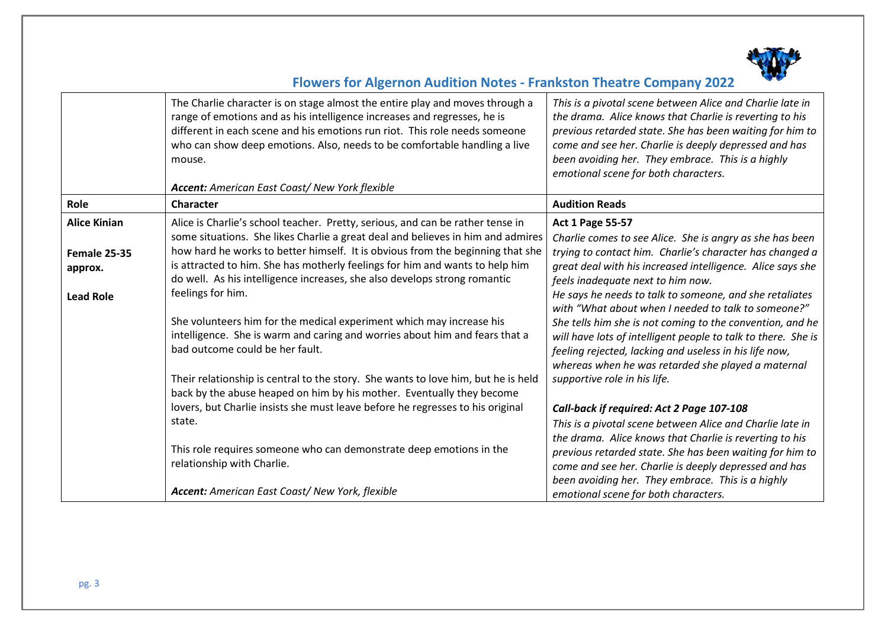

|                                                                           | The Charlie character is on stage almost the entire play and moves through a<br>range of emotions and as his intelligence increases and regresses, he is<br>different in each scene and his emotions run riot. This role needs someone<br>who can show deep emotions. Also, needs to be comfortable handling a live<br>mouse.<br><b>Accent:</b> American East Coast/New York flexible                                                                                                                                                                                                                                                                                                                                                                                                         | This is a pivotal scene between Alice and Charlie late in<br>the drama. Alice knows that Charlie is reverting to his<br>previous retarded state. She has been waiting for him to<br>come and see her. Charlie is deeply depressed and has<br>been avoiding her. They embrace. This is a highly<br>emotional scene for both characters.                                                                                                                                                                                                                                                                                                             |
|---------------------------------------------------------------------------|-----------------------------------------------------------------------------------------------------------------------------------------------------------------------------------------------------------------------------------------------------------------------------------------------------------------------------------------------------------------------------------------------------------------------------------------------------------------------------------------------------------------------------------------------------------------------------------------------------------------------------------------------------------------------------------------------------------------------------------------------------------------------------------------------|----------------------------------------------------------------------------------------------------------------------------------------------------------------------------------------------------------------------------------------------------------------------------------------------------------------------------------------------------------------------------------------------------------------------------------------------------------------------------------------------------------------------------------------------------------------------------------------------------------------------------------------------------|
| Role                                                                      | Character                                                                                                                                                                                                                                                                                                                                                                                                                                                                                                                                                                                                                                                                                                                                                                                     | <b>Audition Reads</b>                                                                                                                                                                                                                                                                                                                                                                                                                                                                                                                                                                                                                              |
| <b>Alice Kinian</b><br><b>Female 25-35</b><br>approx.<br><b>Lead Role</b> | Alice is Charlie's school teacher. Pretty, serious, and can be rather tense in<br>some situations. She likes Charlie a great deal and believes in him and admires<br>how hard he works to better himself. It is obvious from the beginning that she<br>is attracted to him. She has motherly feelings for him and wants to help him<br>do well. As his intelligence increases, she also develops strong romantic<br>feelings for him.<br>She volunteers him for the medical experiment which may increase his<br>intelligence. She is warm and caring and worries about him and fears that a<br>bad outcome could be her fault.<br>Their relationship is central to the story. She wants to love him, but he is held<br>back by the abuse heaped on him by his mother. Eventually they become | <b>Act 1 Page 55-57</b><br>Charlie comes to see Alice. She is angry as she has been<br>trying to contact him. Charlie's character has changed a<br>great deal with his increased intelligence. Alice says she<br>feels inadequate next to him now.<br>He says he needs to talk to someone, and she retaliates<br>with "What about when I needed to talk to someone?"<br>She tells him she is not coming to the convention, and he<br>will have lots of intelligent people to talk to there. She is<br>feeling rejected, lacking and useless in his life now,<br>whereas when he was retarded she played a maternal<br>supportive role in his life. |
|                                                                           | lovers, but Charlie insists she must leave before he regresses to his original<br>state.<br>This role requires someone who can demonstrate deep emotions in the                                                                                                                                                                                                                                                                                                                                                                                                                                                                                                                                                                                                                               | Call-back if required: Act 2 Page 107-108<br>This is a pivotal scene between Alice and Charlie late in<br>the drama. Alice knows that Charlie is reverting to his<br>previous retarded state. She has been waiting for him to                                                                                                                                                                                                                                                                                                                                                                                                                      |
|                                                                           | relationship with Charlie.<br>Accent: American East Coast/ New York, flexible                                                                                                                                                                                                                                                                                                                                                                                                                                                                                                                                                                                                                                                                                                                 | come and see her. Charlie is deeply depressed and has<br>been avoiding her. They embrace. This is a highly<br>emotional scene for both characters.                                                                                                                                                                                                                                                                                                                                                                                                                                                                                                 |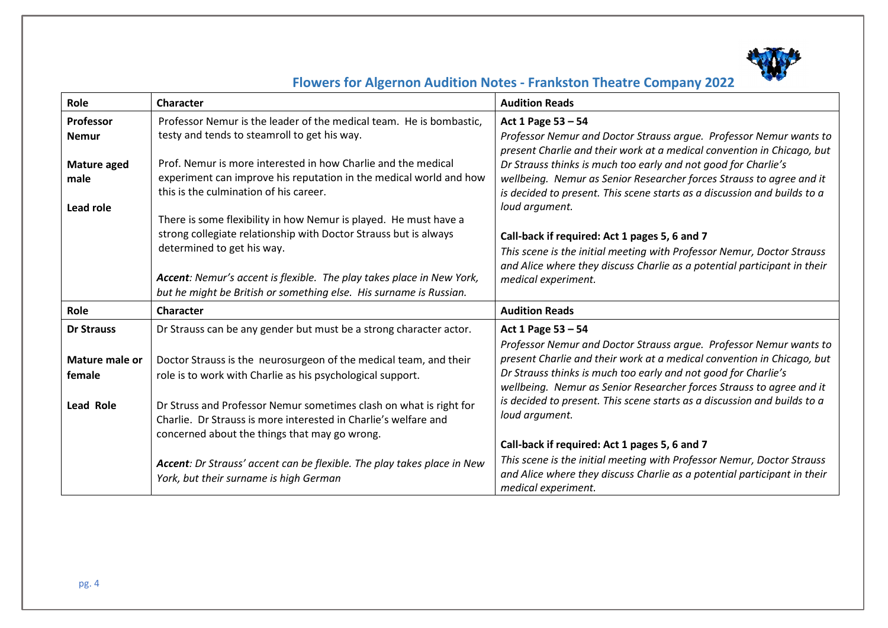

| Role              | <b>Character</b>                                                                                             | <b>Audition Reads</b>                                                                                                                            |
|-------------------|--------------------------------------------------------------------------------------------------------------|--------------------------------------------------------------------------------------------------------------------------------------------------|
| Professor         | Professor Nemur is the leader of the medical team. He is bombastic,                                          | Act 1 Page 53 - 54                                                                                                                               |
| <b>Nemur</b>      | testy and tends to steamroll to get his way.                                                                 | Professor Nemur and Doctor Strauss argue. Professor Nemur wants to<br>present Charlie and their work at a medical convention in Chicago, but     |
| Mature aged       | Prof. Nemur is more interested in how Charlie and the medical                                                | Dr Strauss thinks is much too early and not good for Charlie's                                                                                   |
| male              | experiment can improve his reputation in the medical world and how<br>this is the culmination of his career. | wellbeing. Nemur as Senior Researcher forces Strauss to agree and it<br>is decided to present. This scene starts as a discussion and builds to a |
| Lead role         |                                                                                                              | loud argument.                                                                                                                                   |
|                   | There is some flexibility in how Nemur is played. He must have a                                             |                                                                                                                                                  |
|                   | strong collegiate relationship with Doctor Strauss but is always<br>determined to get his way.               | Call-back if required: Act 1 pages 5, 6 and 7                                                                                                    |
|                   |                                                                                                              | This scene is the initial meeting with Professor Nemur, Doctor Strauss                                                                           |
|                   | Accent: Nemur's accent is flexible. The play takes place in New York,                                        | and Alice where they discuss Charlie as a potential participant in their                                                                         |
|                   | but he might be British or something else. His surname is Russian.                                           | medical experiment.                                                                                                                              |
| Role              | Character                                                                                                    | <b>Audition Reads</b>                                                                                                                            |
|                   |                                                                                                              |                                                                                                                                                  |
| <b>Dr Strauss</b> | Dr Strauss can be any gender but must be a strong character actor.                                           | Act 1 Page 53 - 54                                                                                                                               |
|                   |                                                                                                              | Professor Nemur and Doctor Strauss argue. Professor Nemur wants to                                                                               |
| Mature male or    | Doctor Strauss is the neurosurgeon of the medical team, and their                                            | present Charlie and their work at a medical convention in Chicago, but                                                                           |
| female            | role is to work with Charlie as his psychological support.                                                   | Dr Strauss thinks is much too early and not good for Charlie's<br>wellbeing. Nemur as Senior Researcher forces Strauss to agree and it           |
| Lead Role         | Dr Struss and Professor Nemur sometimes clash on what is right for                                           | is decided to present. This scene starts as a discussion and builds to a                                                                         |
|                   | Charlie. Dr Strauss is more interested in Charlie's welfare and                                              | loud argument.                                                                                                                                   |
|                   | concerned about the things that may go wrong.                                                                |                                                                                                                                                  |
|                   |                                                                                                              | Call-back if required: Act 1 pages 5, 6 and 7                                                                                                    |
|                   | Accent: Dr Strauss' accent can be flexible. The play takes place in New                                      | This scene is the initial meeting with Professor Nemur, Doctor Strauss                                                                           |
|                   | York, but their surname is high German                                                                       | and Alice where they discuss Charlie as a potential participant in their                                                                         |
|                   |                                                                                                              | medical experiment.                                                                                                                              |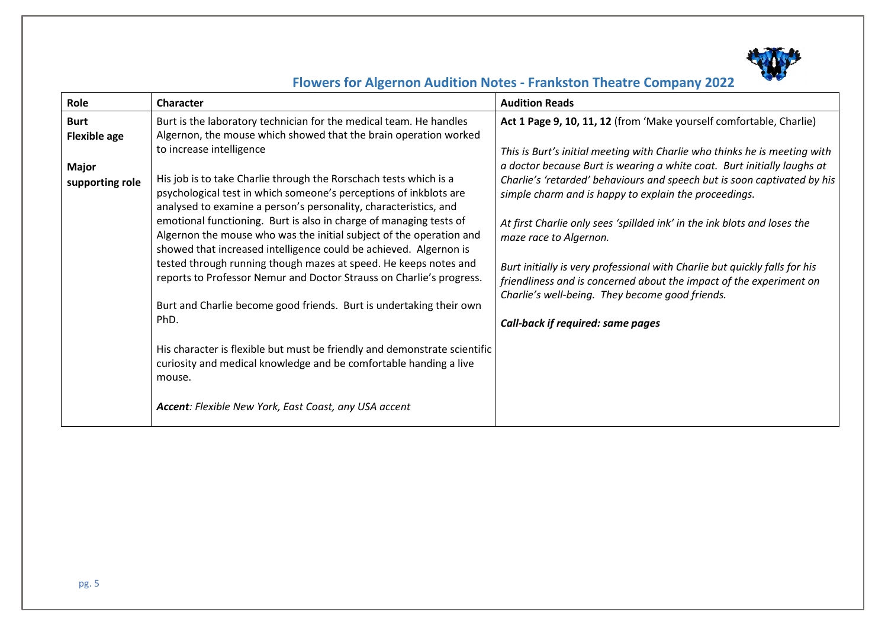

| Role                                                                  | Character                                                                                                                                                                                                                                                                                                                                                                                                                                                                                                                     | <b>Audition Reads</b>                                                                                                                                                                                                                                                                                                                                                                                                                                                  |
|-----------------------------------------------------------------------|-------------------------------------------------------------------------------------------------------------------------------------------------------------------------------------------------------------------------------------------------------------------------------------------------------------------------------------------------------------------------------------------------------------------------------------------------------------------------------------------------------------------------------|------------------------------------------------------------------------------------------------------------------------------------------------------------------------------------------------------------------------------------------------------------------------------------------------------------------------------------------------------------------------------------------------------------------------------------------------------------------------|
| <b>Burt</b><br><b>Flexible age</b><br><b>Major</b><br>supporting role | Burt is the laboratory technician for the medical team. He handles<br>Algernon, the mouse which showed that the brain operation worked<br>to increase intelligence<br>His job is to take Charlie through the Rorschach tests which is a<br>psychological test in which someone's perceptions of inkblots are<br>analysed to examine a person's personality, characteristics, and<br>emotional functioning. Burt is also in charge of managing tests of<br>Algernon the mouse who was the initial subject of the operation and | Act 1 Page 9, 10, 11, 12 (from 'Make yourself comfortable, Charlie)<br>This is Burt's initial meeting with Charlie who thinks he is meeting with<br>a doctor because Burt is wearing a white coat. Burt initially laughs at<br>Charlie's 'retarded' behaviours and speech but is soon captivated by his<br>simple charm and is happy to explain the proceedings.<br>At first Charlie only sees 'spillded ink' in the ink blots and loses the<br>maze race to Algernon. |
|                                                                       | showed that increased intelligence could be achieved. Algernon is<br>tested through running though mazes at speed. He keeps notes and<br>reports to Professor Nemur and Doctor Strauss on Charlie's progress.<br>Burt and Charlie become good friends. Burt is undertaking their own<br>PhD.                                                                                                                                                                                                                                  | Burt initially is very professional with Charlie but quickly falls for his<br>friendliness and is concerned about the impact of the experiment on<br>Charlie's well-being. They become good friends.<br><b>Call-back if required: same pages</b>                                                                                                                                                                                                                       |
|                                                                       | His character is flexible but must be friendly and demonstrate scientific<br>curiosity and medical knowledge and be comfortable handing a live<br>mouse.                                                                                                                                                                                                                                                                                                                                                                      |                                                                                                                                                                                                                                                                                                                                                                                                                                                                        |
|                                                                       | Accent: Flexible New York, East Coast, any USA accent                                                                                                                                                                                                                                                                                                                                                                                                                                                                         |                                                                                                                                                                                                                                                                                                                                                                                                                                                                        |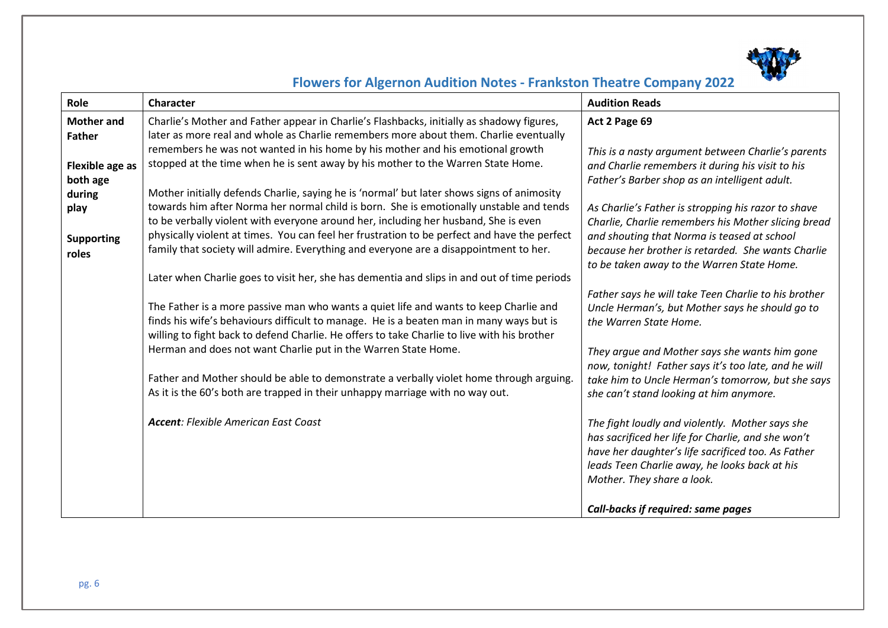

| Role              | <b>Character</b>                                                                                                                                                                       | <b>Audition Reads</b>                                                                                                                                                                                        |
|-------------------|----------------------------------------------------------------------------------------------------------------------------------------------------------------------------------------|--------------------------------------------------------------------------------------------------------------------------------------------------------------------------------------------------------------|
| <b>Mother and</b> | Charlie's Mother and Father appear in Charlie's Flashbacks, initially as shadowy figures,                                                                                              | Act 2 Page 69                                                                                                                                                                                                |
| <b>Father</b>     | later as more real and whole as Charlie remembers more about them. Charlie eventually                                                                                                  |                                                                                                                                                                                                              |
|                   | remembers he was not wanted in his home by his mother and his emotional growth                                                                                                         | This is a nasty argument between Charlie's parents                                                                                                                                                           |
| Flexible age as   | stopped at the time when he is sent away by his mother to the Warren State Home.                                                                                                       | and Charlie remembers it during his visit to his                                                                                                                                                             |
| both age          |                                                                                                                                                                                        | Father's Barber shop as an intelligent adult.                                                                                                                                                                |
| during            | Mother initially defends Charlie, saying he is 'normal' but later shows signs of animosity                                                                                             |                                                                                                                                                                                                              |
| play              | towards him after Norma her normal child is born. She is emotionally unstable and tends                                                                                                | As Charlie's Father is stropping his razor to shave                                                                                                                                                          |
|                   | to be verbally violent with everyone around her, including her husband, She is even                                                                                                    | Charlie, Charlie remembers his Mother slicing bread                                                                                                                                                          |
| <b>Supporting</b> | physically violent at times. You can feel her frustration to be perfect and have the perfect                                                                                           | and shouting that Norma is teased at school                                                                                                                                                                  |
| roles             | family that society will admire. Everything and everyone are a disappointment to her.                                                                                                  | because her brother is retarded. She wants Charlie                                                                                                                                                           |
|                   |                                                                                                                                                                                        | to be taken away to the Warren State Home.                                                                                                                                                                   |
|                   | Later when Charlie goes to visit her, she has dementia and slips in and out of time periods                                                                                            |                                                                                                                                                                                                              |
|                   |                                                                                                                                                                                        | Father says he will take Teen Charlie to his brother                                                                                                                                                         |
|                   | The Father is a more passive man who wants a quiet life and wants to keep Charlie and                                                                                                  | Uncle Herman's, but Mother says he should go to                                                                                                                                                              |
|                   | finds his wife's behaviours difficult to manage. He is a beaten man in many ways but is<br>willing to fight back to defend Charlie. He offers to take Charlie to live with his brother | the Warren State Home.                                                                                                                                                                                       |
|                   | Herman and does not want Charlie put in the Warren State Home.                                                                                                                         |                                                                                                                                                                                                              |
|                   |                                                                                                                                                                                        | They argue and Mother says she wants him gone                                                                                                                                                                |
|                   | Father and Mother should be able to demonstrate a verbally violet home through arguing.                                                                                                | now, tonight! Father says it's too late, and he will<br>take him to Uncle Herman's tomorrow, but she says                                                                                                    |
|                   | As it is the 60's both are trapped in their unhappy marriage with no way out.                                                                                                          | she can't stand looking at him anymore.                                                                                                                                                                      |
|                   |                                                                                                                                                                                        |                                                                                                                                                                                                              |
|                   | <b>Accent: Flexible American East Coast</b>                                                                                                                                            | The fight loudly and violently. Mother says she<br>has sacrificed her life for Charlie, and she won't<br>have her daughter's life sacrificed too. As Father<br>leads Teen Charlie away, he looks back at his |
|                   |                                                                                                                                                                                        | Mother. They share a look.                                                                                                                                                                                   |
|                   |                                                                                                                                                                                        |                                                                                                                                                                                                              |
|                   |                                                                                                                                                                                        | Call-backs if required: same pages                                                                                                                                                                           |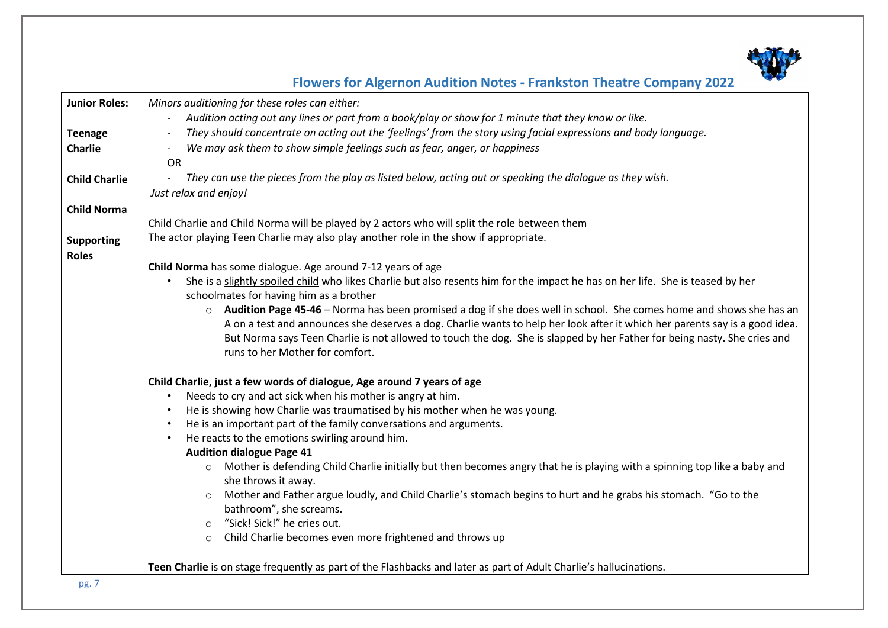

| <b>Junior Roles:</b> | Minors auditioning for these roles can either:                                                                                 |  |
|----------------------|--------------------------------------------------------------------------------------------------------------------------------|--|
|                      | Audition acting out any lines or part from a book/play or show for 1 minute that they know or like.                            |  |
| <b>Teenage</b>       | They should concentrate on acting out the 'feelings' from the story using facial expressions and body language.                |  |
| Charlie              | We may ask them to show simple feelings such as fear, anger, or happiness                                                      |  |
|                      | <b>OR</b>                                                                                                                      |  |
| <b>Child Charlie</b> | They can use the pieces from the play as listed below, acting out or speaking the dialogue as they wish.                       |  |
|                      | Just relax and enjoy!                                                                                                          |  |
| <b>Child Norma</b>   |                                                                                                                                |  |
|                      | Child Charlie and Child Norma will be played by 2 actors who will split the role between them                                  |  |
|                      | The actor playing Teen Charlie may also play another role in the show if appropriate.                                          |  |
| <b>Supporting</b>    |                                                                                                                                |  |
| <b>Roles</b>         | Child Norma has some dialogue. Age around 7-12 years of age                                                                    |  |
|                      | She is a slightly spoiled child who likes Charlie but also resents him for the impact he has on her life. She is teased by her |  |
|                      | schoolmates for having him as a brother                                                                                        |  |
|                      | o Audition Page 45-46 - Norma has been promised a dog if she does well in school. She comes home and shows she has an          |  |
|                      | A on a test and announces she deserves a dog. Charlie wants to help her look after it which her parents say is a good idea.    |  |
|                      | But Norma says Teen Charlie is not allowed to touch the dog. She is slapped by her Father for being nasty. She cries and       |  |
|                      | runs to her Mother for comfort.                                                                                                |  |
|                      |                                                                                                                                |  |
|                      | Child Charlie, just a few words of dialogue, Age around 7 years of age                                                         |  |
|                      | Needs to cry and act sick when his mother is angry at him.<br>$\bullet$                                                        |  |
|                      | He is showing how Charlie was traumatised by his mother when he was young.                                                     |  |
|                      | He is an important part of the family conversations and arguments.                                                             |  |
|                      | He reacts to the emotions swirling around him.                                                                                 |  |
|                      | <b>Audition dialogue Page 41</b>                                                                                               |  |
|                      | o Mother is defending Child Charlie initially but then becomes angry that he is playing with a spinning top like a baby and    |  |
|                      | she throws it away.                                                                                                            |  |
|                      | Mother and Father argue loudly, and Child Charlie's stomach begins to hurt and he grabs his stomach. "Go to the<br>$\circ$     |  |
|                      | bathroom", she screams.                                                                                                        |  |
|                      | "Sick! Sick!" he cries out.<br>$\circ$                                                                                         |  |
|                      | Child Charlie becomes even more frightened and throws up<br>$\circ$                                                            |  |
|                      |                                                                                                                                |  |
|                      | Teen Charlie is on stage frequently as part of the Flashbacks and later as part of Adult Charlie's hallucinations.             |  |
| $n\sigma$ 7          |                                                                                                                                |  |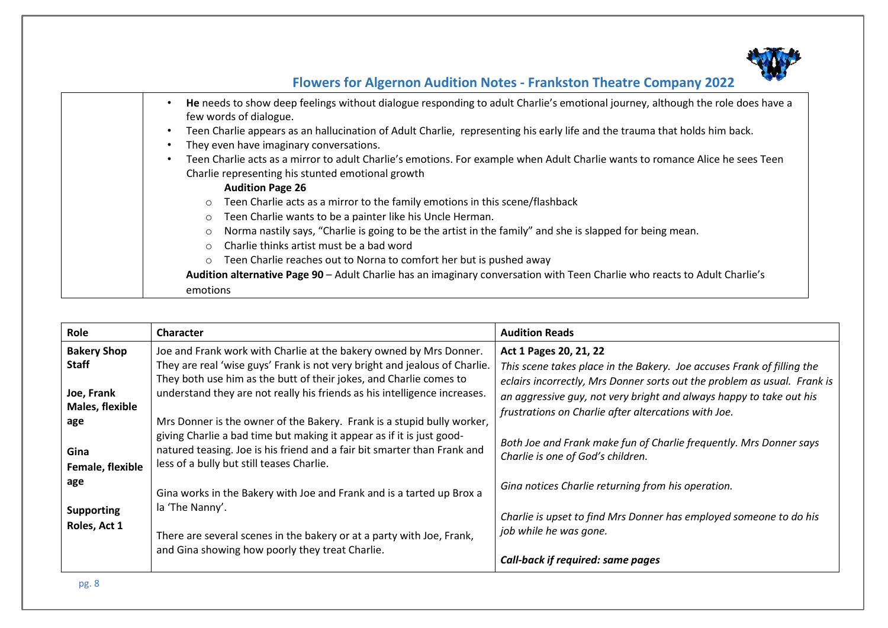

| He needs to show deep feelings without dialogue responding to adult Charlie's emotional journey, although the role does have a<br>few words of dialogue. |
|----------------------------------------------------------------------------------------------------------------------------------------------------------|
| Teen Charlie appears as an hallucination of Adult Charlie, representing his early life and the trauma that holds him back.                               |
| They even have imaginary conversations.                                                                                                                  |
| Teen Charlie acts as a mirror to adult Charlie's emotions. For example when Adult Charlie wants to romance Alice he sees Teen                            |
| Charlie representing his stunted emotional growth                                                                                                        |
| <b>Audition Page 26</b>                                                                                                                                  |
| Teen Charlie acts as a mirror to the family emotions in this scene/flashback<br>$\circ$                                                                  |
| Teen Charlie wants to be a painter like his Uncle Herman.<br>$\circ$                                                                                     |
| Norma nastily says, "Charlie is going to be the artist in the family" and she is slapped for being mean.<br>$\circ$                                      |
| Charlie thinks artist must be a bad word<br>$\circ$                                                                                                      |
| Teen Charlie reaches out to Norna to comfort her but is pushed away<br>$\circ$                                                                           |
| Audition alternative Page 90 - Adult Charlie has an imaginary conversation with Teen Charlie who reacts to Adult Charlie's                               |
| emotions                                                                                                                                                 |

| Role                                                                | Character                                                                                                                                                                                                                                                                                           | <b>Audition Reads</b>                                                                                                                                                                                                                               |
|---------------------------------------------------------------------|-----------------------------------------------------------------------------------------------------------------------------------------------------------------------------------------------------------------------------------------------------------------------------------------------------|-----------------------------------------------------------------------------------------------------------------------------------------------------------------------------------------------------------------------------------------------------|
| <b>Bakery Shop</b><br><b>Staff</b><br>Joe, Frank<br>Males, flexible | Joe and Frank work with Charlie at the bakery owned by Mrs Donner.<br>They are real 'wise guys' Frank is not very bright and jealous of Charlie.<br>They both use him as the butt of their jokes, and Charlie comes to<br>understand they are not really his friends as his intelligence increases. | Act 1 Pages 20, 21, 22<br>This scene takes place in the Bakery. Joe accuses Frank of filling the<br>eclairs incorrectly, Mrs Donner sorts out the problem as usual. Frank is<br>an aggressive guy, not very bright and always happy to take out his |
| age<br>Gina<br>Female, flexible                                     | Mrs Donner is the owner of the Bakery. Frank is a stupid bully worker,<br>giving Charlie a bad time but making it appear as if it is just good-<br>natured teasing. Joe is his friend and a fair bit smarter than Frank and<br>less of a bully but still teases Charlie.                            | frustrations on Charlie after altercations with Joe.<br>Both Joe and Frank make fun of Charlie frequently. Mrs Donner says<br>Charlie is one of God's children.                                                                                     |
| age                                                                 | Gina works in the Bakery with Joe and Frank and is a tarted up Brox a                                                                                                                                                                                                                               | Gina notices Charlie returning from his operation.                                                                                                                                                                                                  |
| <b>Supporting</b><br>Roles, Act 1                                   | la 'The Nanny'.<br>There are several scenes in the bakery or at a party with Joe, Frank,                                                                                                                                                                                                            | Charlie is upset to find Mrs Donner has employed someone to do his<br>job while he was gone.                                                                                                                                                        |
|                                                                     | and Gina showing how poorly they treat Charlie.                                                                                                                                                                                                                                                     | <b>Call-back if required: same pages</b>                                                                                                                                                                                                            |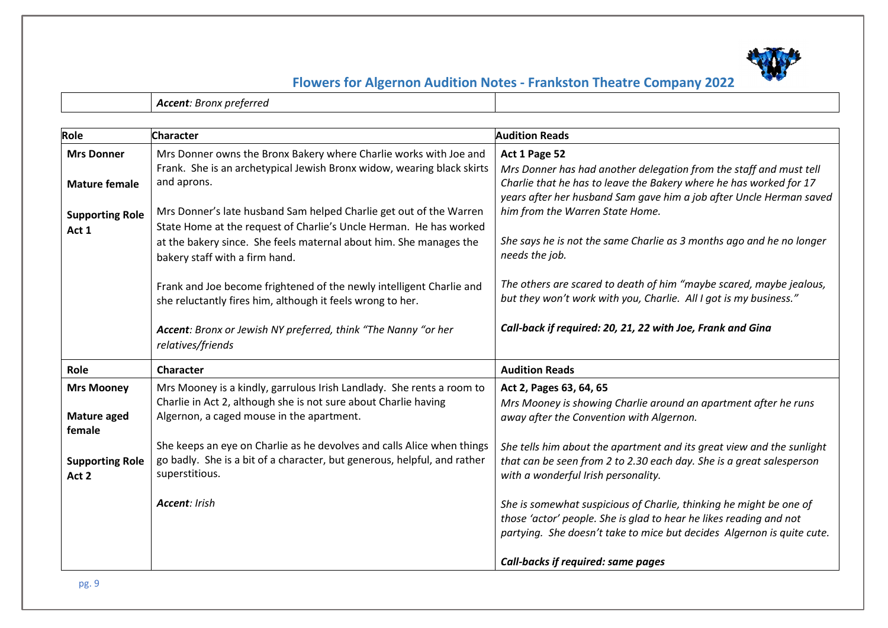

*Accent: Bronx preferred*

| Role                            | <b>Character</b>                                                                                                                   | <b>Audition Reads</b>                                                                                                                                                                                              |
|---------------------------------|------------------------------------------------------------------------------------------------------------------------------------|--------------------------------------------------------------------------------------------------------------------------------------------------------------------------------------------------------------------|
| <b>Mrs Donner</b>               | Mrs Donner owns the Bronx Bakery where Charlie works with Joe and                                                                  | Act 1 Page 52                                                                                                                                                                                                      |
| <b>Mature female</b>            | Frank. She is an archetypical Jewish Bronx widow, wearing black skirts<br>and aprons.                                              | Mrs Donner has had another delegation from the staff and must tell<br>Charlie that he has to leave the Bakery where he has worked for 17<br>years after her husband Sam gave him a job after Uncle Herman saved    |
| <b>Supporting Role</b>          | Mrs Donner's late husband Sam helped Charlie get out of the Warren                                                                 | him from the Warren State Home.                                                                                                                                                                                    |
| Act 1                           | State Home at the request of Charlie's Uncle Herman. He has worked                                                                 |                                                                                                                                                                                                                    |
|                                 | at the bakery since. She feels maternal about him. She manages the<br>bakery staff with a firm hand.                               | She says he is not the same Charlie as 3 months ago and he no longer<br>needs the job.                                                                                                                             |
|                                 | Frank and Joe become frightened of the newly intelligent Charlie and<br>she reluctantly fires him, although it feels wrong to her. | The others are scared to death of him "maybe scared, maybe jealous,<br>but they won't work with you, Charlie. All I got is my business."                                                                           |
|                                 | Accent: Bronx or Jewish NY preferred, think "The Nanny "or her<br>relatives/friends                                                | Call-back if required: 20, 21, 22 with Joe, Frank and Gina                                                                                                                                                         |
| Role                            | Character                                                                                                                          | <b>Audition Reads</b>                                                                                                                                                                                              |
| <b>Mrs Mooney</b>               | Mrs Mooney is a kindly, garrulous Irish Landlady. She rents a room to                                                              | Act 2, Pages 63, 64, 65                                                                                                                                                                                            |
| Mature aged<br>female           | Charlie in Act 2, although she is not sure about Charlie having<br>Algernon, a caged mouse in the apartment.                       | Mrs Mooney is showing Charlie around an apartment after he runs<br>away after the Convention with Algernon.                                                                                                        |
|                                 | She keeps an eye on Charlie as he devolves and calls Alice when things                                                             | She tells him about the apartment and its great view and the sunlight                                                                                                                                              |
| <b>Supporting Role</b><br>Act 2 | go badly. She is a bit of a character, but generous, helpful, and rather<br>superstitious.                                         | that can be seen from 2 to 2.30 each day. She is a great salesperson<br>with a wonderful Irish personality.                                                                                                        |
|                                 | Accent: Irish                                                                                                                      | She is somewhat suspicious of Charlie, thinking he might be one of<br>those 'actor' people. She is glad to hear he likes reading and not<br>partying. She doesn't take to mice but decides Algernon is quite cute. |
|                                 |                                                                                                                                    | <b>Call-backs if required: same pages</b>                                                                                                                                                                          |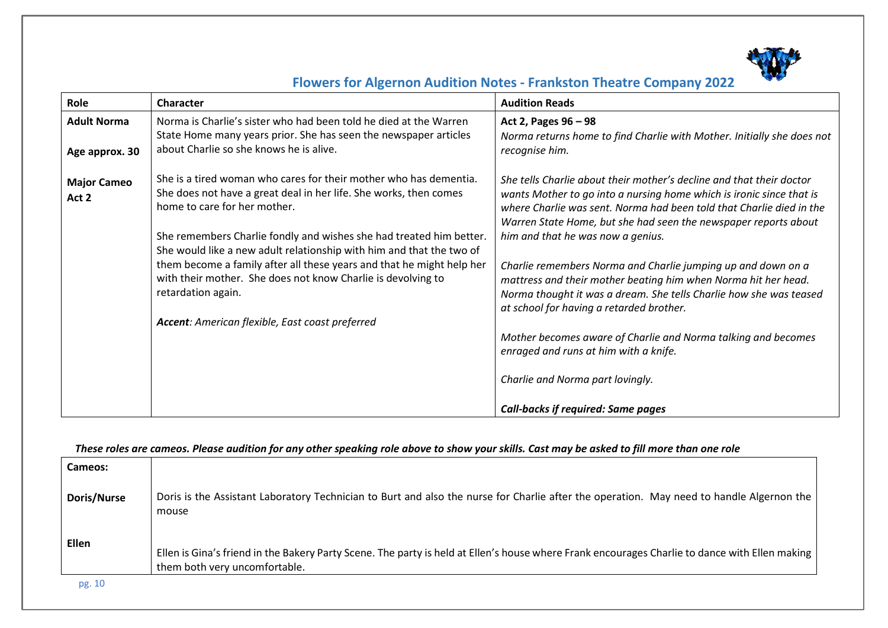

| Role                        | <b>Character</b>                                                                                                                                                       | <b>Audition Reads</b>                                                                                                                                                                                                                                                                   |
|-----------------------------|------------------------------------------------------------------------------------------------------------------------------------------------------------------------|-----------------------------------------------------------------------------------------------------------------------------------------------------------------------------------------------------------------------------------------------------------------------------------------|
| <b>Adult Norma</b>          | Norma is Charlie's sister who had been told he died at the Warren                                                                                                      | Act 2, Pages 96 - 98                                                                                                                                                                                                                                                                    |
| Age approx. 30              | State Home many years prior. She has seen the newspaper articles<br>about Charlie so she knows he is alive.                                                            | Norma returns home to find Charlie with Mother. Initially she does not<br>recognise him.                                                                                                                                                                                                |
| <b>Major Cameo</b><br>Act 2 | She is a tired woman who cares for their mother who has dementia.<br>She does not have a great deal in her life. She works, then comes<br>home to care for her mother. | She tells Charlie about their mother's decline and that their doctor<br>wants Mother to go into a nursing home which is ironic since that is<br>where Charlie was sent. Norma had been told that Charlie died in the<br>Warren State Home, but she had seen the newspaper reports about |
|                             | She remembers Charlie fondly and wishes she had treated him better.<br>She would like a new adult relationship with him and that the two of                            | him and that he was now a genius.                                                                                                                                                                                                                                                       |
|                             | them become a family after all these years and that he might help her<br>with their mother. She does not know Charlie is devolving to<br>retardation again.            | Charlie remembers Norma and Charlie jumping up and down on a<br>mattress and their mother beating him when Norma hit her head.<br>Norma thought it was a dream. She tells Charlie how she was teased<br>at school for having a retarded brother.                                        |
|                             | Accent: American flexible, East coast preferred                                                                                                                        |                                                                                                                                                                                                                                                                                         |
|                             |                                                                                                                                                                        | Mother becomes aware of Charlie and Norma talking and becomes<br>enraged and runs at him with a knife.                                                                                                                                                                                  |
|                             |                                                                                                                                                                        | Charlie and Norma part lovingly.                                                                                                                                                                                                                                                        |
|                             |                                                                                                                                                                        | <b>Call-backs if required: Same pages</b>                                                                                                                                                                                                                                               |

*These roles are cameos. Please audition for any other speaking role above to show your skills. Cast may be asked to fill more than one role* 

| Cameos:            |                                                                                                                                                                                 |
|--------------------|---------------------------------------------------------------------------------------------------------------------------------------------------------------------------------|
| <b>Doris/Nurse</b> | Doris is the Assistant Laboratory Technician to Burt and also the nurse for Charlie after the operation. May need to handle Algernon the<br>mouse                               |
| Ellen              | Ellen is Gina's friend in the Bakery Party Scene. The party is held at Ellen's house where Frank encourages Charlie to dance with Ellen making<br>them both very uncomfortable. |
| pg. 10             |                                                                                                                                                                                 |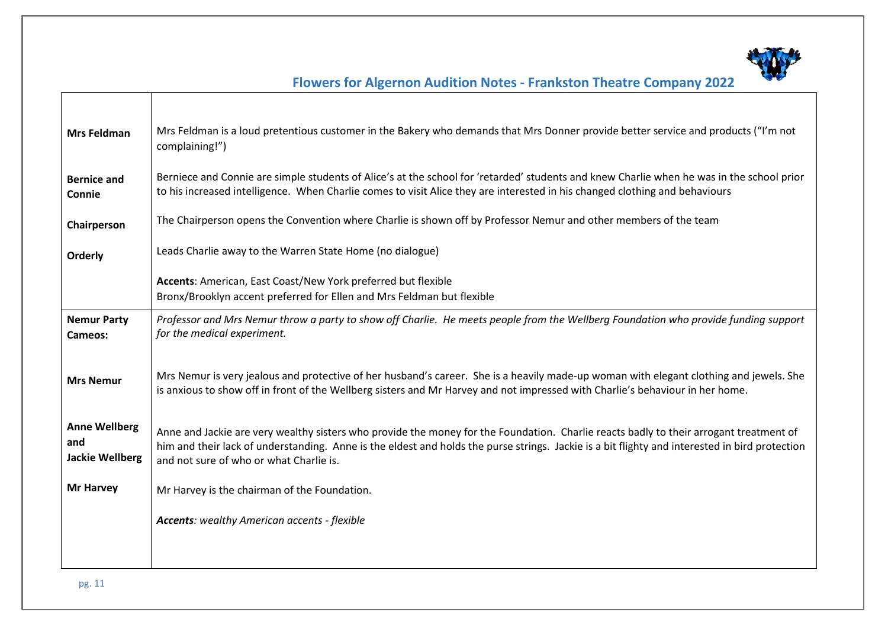

| <b>Mrs Feldman</b>                                    | Mrs Feldman is a loud pretentious customer in the Bakery who demands that Mrs Donner provide better service and products ("I'm not<br>complaining!")                                                                                                                                                                                |
|-------------------------------------------------------|-------------------------------------------------------------------------------------------------------------------------------------------------------------------------------------------------------------------------------------------------------------------------------------------------------------------------------------|
| <b>Bernice and</b><br>Connie                          | Berniece and Connie are simple students of Alice's at the school for 'retarded' students and knew Charlie when he was in the school prior<br>to his increased intelligence. When Charlie comes to visit Alice they are interested in his changed clothing and behaviours                                                            |
| Chairperson                                           | The Chairperson opens the Convention where Charlie is shown off by Professor Nemur and other members of the team                                                                                                                                                                                                                    |
| Orderly                                               | Leads Charlie away to the Warren State Home (no dialogue)                                                                                                                                                                                                                                                                           |
|                                                       | Accents: American, East Coast/New York preferred but flexible<br>Bronx/Brooklyn accent preferred for Ellen and Mrs Feldman but flexible                                                                                                                                                                                             |
| <b>Nemur Party</b><br>Cameos:                         | Professor and Mrs Nemur throw a party to show off Charlie. He meets people from the Wellberg Foundation who provide funding support<br>for the medical experiment.                                                                                                                                                                  |
| <b>Mrs Nemur</b>                                      | Mrs Nemur is very jealous and protective of her husband's career. She is a heavily made-up woman with elegant clothing and jewels. She<br>is anxious to show off in front of the Wellberg sisters and Mr Harvey and not impressed with Charlie's behaviour in her home.                                                             |
| <b>Anne Wellberg</b><br>and<br><b>Jackie Wellberg</b> | Anne and Jackie are very wealthy sisters who provide the money for the Foundation. Charlie reacts badly to their arrogant treatment of<br>him and their lack of understanding. Anne is the eldest and holds the purse strings. Jackie is a bit flighty and interested in bird protection<br>and not sure of who or what Charlie is. |
| <b>Mr Harvey</b>                                      | Mr Harvey is the chairman of the Foundation.                                                                                                                                                                                                                                                                                        |
|                                                       | <b>Accents:</b> wealthy American accents - flexible                                                                                                                                                                                                                                                                                 |
|                                                       |                                                                                                                                                                                                                                                                                                                                     |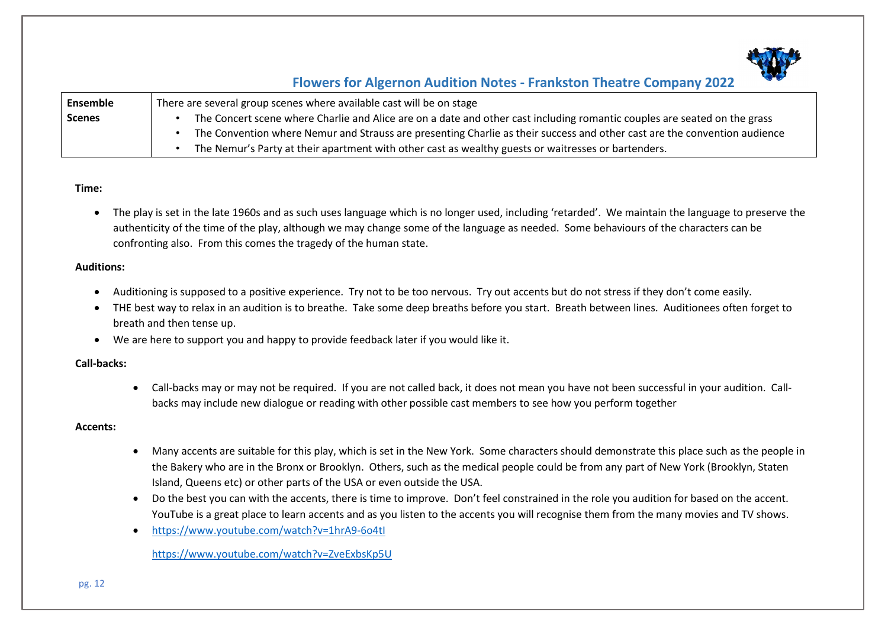

| Ensemble      | There are several group scenes where available cast will be on stage                                                      |
|---------------|---------------------------------------------------------------------------------------------------------------------------|
| <b>Scenes</b> | The Concert scene where Charlie and Alice are on a date and other cast including romantic couples are seated on the grass |
|               | The Convention where Nemur and Strauss are presenting Charlie as their success and other cast are the convention audience |
|               | The Nemur's Party at their apartment with other cast as wealthy guests or waitresses or bartenders.                       |

### **Time:**

• The play is set in the late 1960s and as such uses language which is no longer used, including 'retarded'. We maintain the language to preserve the authenticity of the time of the play, although we may change some of the language as needed. Some behaviours of the characters can be confronting also. From this comes the tragedy of the human state.

### **Auditions:**

- Auditioning is supposed to a positive experience. Try not to be too nervous. Try out accents but do not stress if they don't come easily.
- THE best way to relax in an audition is to breathe. Take some deep breaths before you start. Breath between lines. Auditionees often forget to breath and then tense up.
- We are here to support you and happy to provide feedback later if you would like it.

### **Call-backs:**

• Call-backs may or may not be required. If you are not called back, it does not mean you have not been successful in your audition. Callbacks may include new dialogue or reading with other possible cast members to see how you perform together

### **Accents:**

- Many accents are suitable for this play, which is set in the New York. Some characters should demonstrate this place such as the people in the Bakery who are in the Bronx or Brooklyn. Others, such as the medical people could be from any part of New York (Brooklyn, Staten Island, Queens etc) or other parts of the USA or even outside the USA.
- Do the best you can with the accents, there is time to improve. Don't feel constrained in the role you audition for based on the accent. YouTube is a great place to learn accents and as you listen to the accents you will recognise them from the many movies and TV shows.
- <https://www.youtube.com/watch?v=1hrA9-6o4tI>

<https://www.youtube.com/watch?v=ZveExbsKp5U>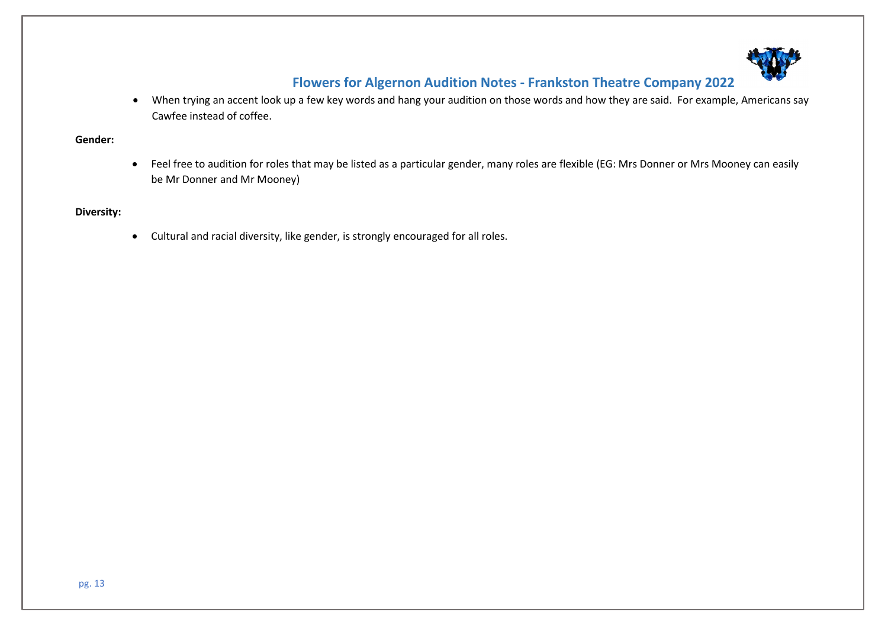

• When trying an accent look up a few key words and hang your audition on those words and how they are said. For example, Americans say Cawfee instead of coffee.

#### **Gender:**

• Feel free to audition for roles that may be listed as a particular gender, many roles are flexible (EG: Mrs Donner or Mrs Mooney can easily be Mr Donner and Mr Mooney)

### **Diversity:**

• Cultural and racial diversity, like gender, is strongly encouraged for all roles.